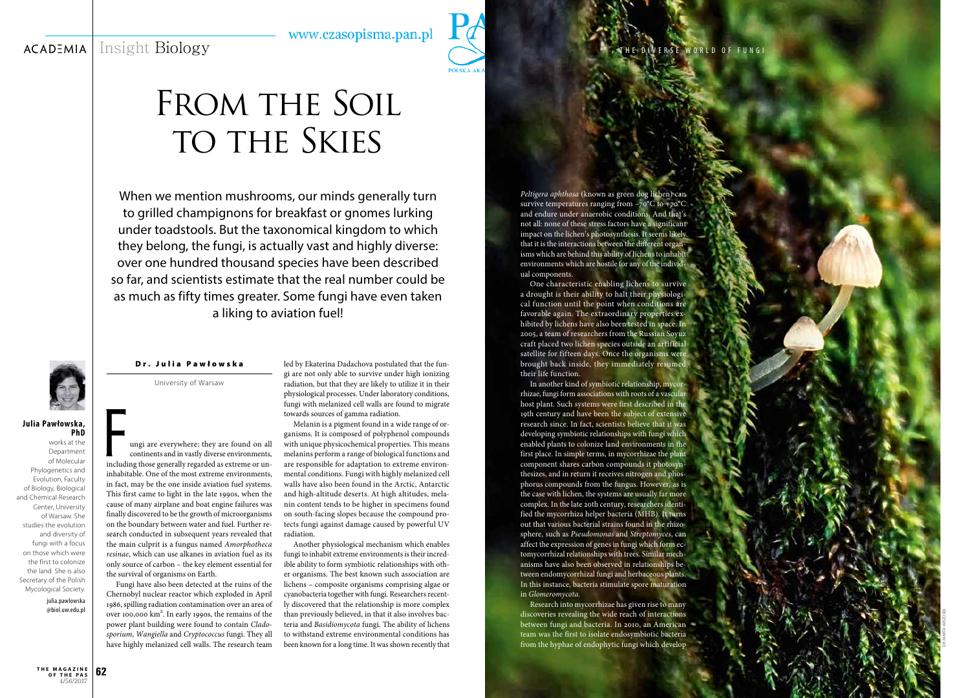## Insight Biology www.czasopisma.pan.pl **ACADEMIA**



# FROM THE SOIL TO THE SKIES

**62 t h e m a g a z i n e o f t h e p a s** 4/56/2017

When we mention mushrooms, our minds generally turn to grilled champignons for breakfast or gnomes lurking under toadstools. But the taxonomical kingdom to which they belong, the fungi, is actually vast and highly diverse: over one hundred thousand species have been described so far, and scientists estimate that the real number could be as much as fifty times greater. Some fungi have even taken a liking to aviation fuel!

## Dr. Julia Pawłowska

University of Warsaw

Imagi are everywhere: they are found on all continents and in vastly diverse environments, including those generally regarded as extreme or uncontinents and in vastly diverse environments, inhabitable. One of the most extreme environments, in fact, may be the one inside aviation fuel systems. This first came to light in the late 1990s, when the cause of many airplane and boat engine failures was finally discovered to be the growth of microorganisms on the boundary between water and fuel. Further re search conducted in subsequent years revealed that the main culprit is a fungus named *Amorphotheca resinae*, which can use alkanes in aviation fuel as its only source of carbon – the key element essential for the survival of organisms on Earth.

Fungi have also been detected at the ruins of the Chernobyl nuclear reactor which exploded in April 1986, spilling radiation contamination over an area of over 100,000 km 2 . In early 1990s, the remains of the power plant building were found to contain *Clado sporium*, *Wangiella* and *Cryptococcus* fungi. They all have highly melanized cell walls. The research team

### **Julia Pawłowska, PhD**

works at the Department of Molecular Phylogenetics and Evolution, Faculty of Biology, Biological and Chemical Research Center, University of Warsaw. She studies the evolution and diversity of fungi with a focus on those which were the first to colonize the land. She is also Secretary of the Polish Mycological Society.

> julia.pawlowska @biol.uw.edu.pl

led by Ekaterina Dadachova postulated that the fun gi are not only able to survive under high ionizing radiation, but that they are likely to utilize it in their physiological processes. Under laboratory conditions, fungi with melanized cell walls are found to migrate towards sources of gamma radiation.

Melanin is a pigment found in a wide range of or ganisms. It is composed of polyphenol compounds with unique physicochemical properties. This means melanins perform a range of biological functions and are responsible for adaptation to extreme environ mental conditions. Fungi with highly melanized cell walls have also been found in the Arctic, Antarctic and high-altitude deserts. At high altitudes, mela nin content tends to be higher in specimens found on south-facing slopes because the compound pro tects fungi against damage caused by powerful UV radiation.

Another physiological mechanism which enables fungi to inhabit extreme environments is their incred ible ability to form symbiotic relationships with oth er organisms. The best known such association are lichens – composite organisms comprising algae or cyanobacteria together with fungi. Researchers recent ly discovered that the relationship is more complex than previously believed, in that it also involves bac teria and *Basidiomycota* fungi. The ability of lichens to withstand extreme environmental conditions has been known for a long time. It was shown recently that

*Peltigera aphthosa* (known as green dog lichen) can survive temperatures ranging from –70°C to +70°C and endure under anaerobic conditions. And that's not all: none of these stress factors have a significant impact on the lichen's photosynthesis. It seems likely that it is the interactions between the different organ isms which are behind this ability of lichens to inhabit environments which are hostile for any of the individ ual components.

One characteristic enabling lichens to survive a drought is their ability to halt their physiologi cal function until the point when conditions are favorable again. The extraordinary properties ex hibited by lichens have also been tested in space. In 2005, a team of researchers from the Russian Soyuz craft placed two lichen species outside an artificial satellite for fifteen days. Once the organisms were brought back inside, they immediately resumed their life function.

In another kind of symbiotic relationship, mycor rhizae, fungi form associations with roots of a vascular host plant. Such systems were first described in the 19th century and have been the subject of extensive research since. In fact, scientists believe that it was developing symbiotic relationships with fungi which enabled plants to colonize land environments in the first place. In simple terms, in mycorrhizae the plant component shares carbon compounds it photosyn thesizes, and in return it receives nitrogen and phos phorus compounds from the fungus. However, as is the case with lichen, the systems are usually far more complex. In the late 20th century, researchers identi fied the mycorrhiza helper bacteria (MHB). It turns out that various bacterial strains found in the rhizo sphere, such as *Pseudomonas* and *Streptomyces*, can affect the expression of genes in fungi which form ec tomycorrhizal relationships with trees. Similar mech anisms have also been observed in relationships be tween endomycorrhizal fungi and herbaceous plants. In this instance, bacteria stimulate spore maturation in *Glomeromycota* .

Research into mycorrhizae has given rise to many discoveries revealing the wide reach of interactions between fungi and bacteria. In 2010, an American team was the first to isolate endosymbiotic bacteria from the hyphae of endophytic fungi which develop